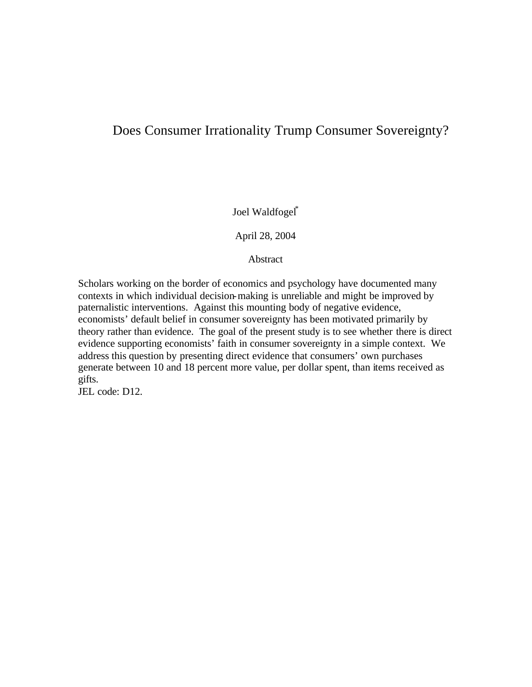## Does Consumer Irrationality Trump Consumer Sovereignty?

Joel Waldfogel\*

April 28, 2004

**Abstract** 

Scholars working on the border of economics and psychology have documented many contexts in which individual decision-making is unreliable and might be improved by paternalistic interventions. Against this mounting body of negative evidence, economists' default belief in consumer sovereignty has been motivated primarily by theory rather than evidence. The goal of the present study is to see whether there is direct evidence supporting economists' faith in consumer sovereignty in a simple context. We address this question by presenting direct evidence that consumers' own purchases generate between 10 and 18 percent more value, per dollar spent, than items received as gifts.

JEL code: D12.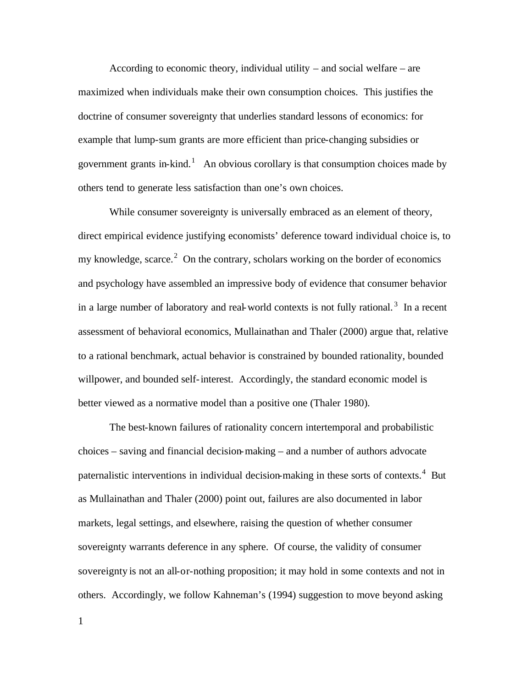According to economic theory, individual utility – and social welfare – are maximized when individuals make their own consumption choices. This justifies the doctrine of consumer sovereignty that underlies standard lessons of economics: for example that lump-sum grants are more efficient than price-changing subsidies or government grants in-kind.<sup>1</sup> An obvious corollary is that consumption choices made by others tend to generate less satisfaction than one's own choices.

While consumer sovereignty is universally embraced as an element of theory, direct empirical evidence justifying economists' deference toward individual choice is, to my knowledge, scarce. $2$  On the contrary, scholars working on the border of economics and psychology have assembled an impressive body of evidence that consumer behavior in a large number of laboratory and real-world contexts is not fully rational.<sup>3</sup> In a recent assessment of behavioral economics, Mullainathan and Thaler (2000) argue that, relative to a rational benchmark, actual behavior is constrained by bounded rationality, bounded willpower, and bounded self-interest. Accordingly, the standard economic model is better viewed as a normative model than a positive one (Thaler 1980).

The best-known failures of rationality concern intertemporal and probabilistic choices – saving and financial decision-making – and a number of authors advocate paternalistic interventions in individual decision-making in these sorts of contexts.<sup>4</sup> But as Mullainathan and Thaler (2000) point out, failures are also documented in labor markets, legal settings, and elsewhere, raising the question of whether consumer sovereignty warrants deference in any sphere. Of course, the validity of consumer sovereignty is not an all-or-nothing proposition; it may hold in some contexts and not in others. Accordingly, we follow Kahneman's (1994) suggestion to move beyond asking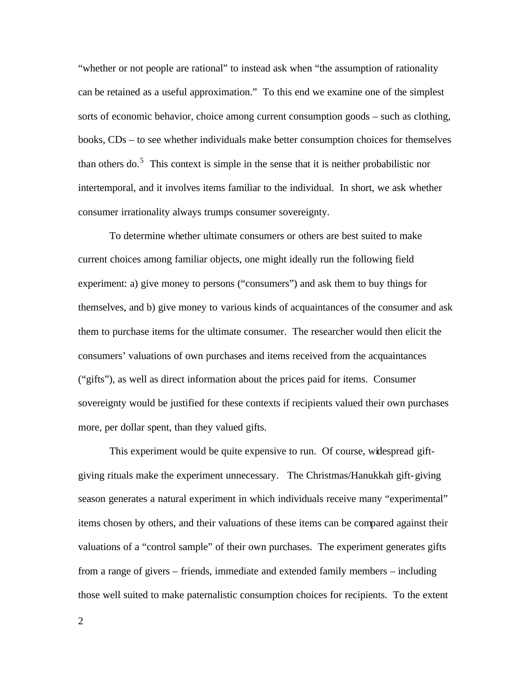"whether or not people are rational" to instead ask when "the assumption of rationality can be retained as a useful approximation." To this end we examine one of the simplest sorts of economic behavior, choice among current consumption goods – such as clothing, books, CDs – to see whether individuals make better consumption choices for themselves than others do.<sup>5</sup> This context is simple in the sense that it is neither probabilistic nor intertemporal, and it involves items familiar to the individual. In short, we ask whether consumer irrationality always trumps consumer sovereignty.

To determine whether ultimate consumers or others are best suited to make current choices among familiar objects, one might ideally run the following field experiment: a) give money to persons ("consumers") and ask them to buy things for themselves, and b) give money to various kinds of acquaintances of the consumer and ask them to purchase items for the ultimate consumer. The researcher would then elicit the consumers' valuations of own purchases and items received from the acquaintances ("gifts"), as well as direct information about the prices paid for items. Consumer sovereignty would be justified for these contexts if recipients valued their own purchases more, per dollar spent, than they valued gifts.

This experiment would be quite expensive to run. Of course, widespread giftgiving rituals make the experiment unnecessary. The Christmas/Hanukkah gift-giving season generates a natural experiment in which individuals receive many "experimental" items chosen by others, and their valuations of these items can be compared against their valuations of a "control sample" of their own purchases. The experiment generates gifts from a range of givers – friends, immediate and extended family members – including those well suited to make paternalistic consumption choices for recipients. To the extent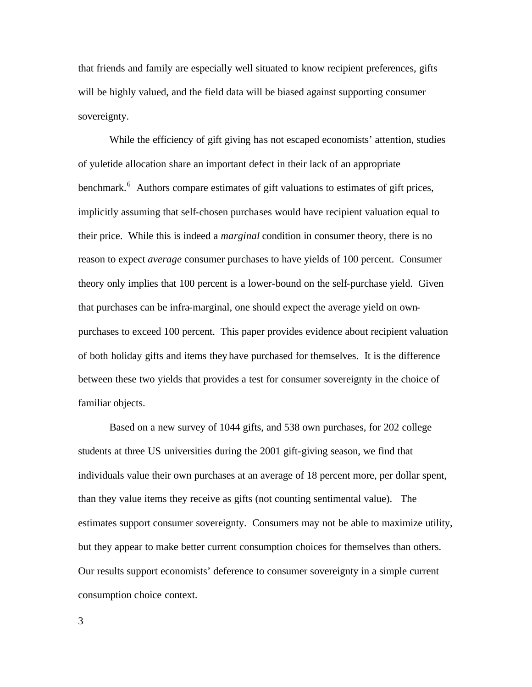that friends and family are especially well situated to know recipient preferences, gifts will be highly valued, and the field data will be biased against supporting consumer sovereignty.

While the efficiency of gift giving has not escaped economists' attention, studies of yuletide allocation share an important defect in their lack of an appropriate benchmark.<sup>6</sup> Authors compare estimates of gift valuations to estimates of gift prices, implicitly assuming that self-chosen purchases would have recipient valuation equal to their price. While this is indeed a *marginal* condition in consumer theory, there is no reason to expect *average* consumer purchases to have yields of 100 percent. Consumer theory only implies that 100 percent is a lower-bound on the self-purchase yield. Given that purchases can be infra-marginal, one should expect the average yield on ownpurchases to exceed 100 percent. This paper provides evidence about recipient valuation of both holiday gifts and items they have purchased for themselves. It is the difference between these two yields that provides a test for consumer sovereignty in the choice of familiar objects.

Based on a new survey of 1044 gifts, and 538 own purchases, for 202 college students at three US universities during the 2001 gift-giving season, we find that individuals value their own purchases at an average of 18 percent more, per dollar spent, than they value items they receive as gifts (not counting sentimental value). The estimates support consumer sovereignty. Consumers may not be able to maximize utility, but they appear to make better current consumption choices for themselves than others. Our results support economists' deference to consumer sovereignty in a simple current consumption choice context.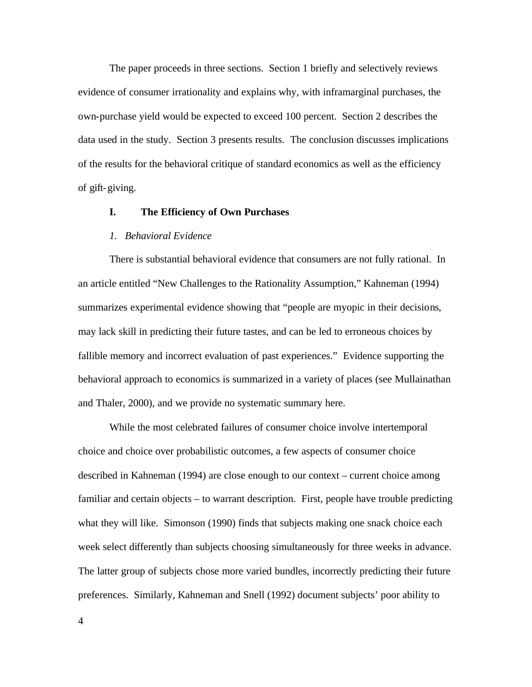The paper proceeds in three sections. Section 1 briefly and selectively reviews evidence of consumer irrationality and explains why, with inframarginal purchases, the own-purchase yield would be expected to exceed 100 percent. Section 2 describes the data used in the study. Section 3 presents results. The conclusion discusses implications of the results for the behavioral critique of standard economics as well as the efficiency of gift-giving.

#### **I. The Efficiency of Own Purchases**

#### *1. Behavioral Evidence*

There is substantial behavioral evidence that consumers are not fully rational. In an article entitled "New Challenges to the Rationality Assumption," Kahneman (1994) summarizes experimental evidence showing that "people are myopic in their decisions, may lack skill in predicting their future tastes, and can be led to erroneous choices by fallible memory and incorrect evaluation of past experiences." Evidence supporting the behavioral approach to economics is summarized in a variety of places (see Mullainathan and Thaler, 2000), and we provide no systematic summary here.

While the most celebrated failures of consumer choice involve intertemporal choice and choice over probabilistic outcomes, a few aspects of consumer choice described in Kahneman (1994) are close enough to our context – current choice among familiar and certain objects – to warrant description. First, people have trouble predicting what they will like. Simonson (1990) finds that subjects making one snack choice each week select differently than subjects choosing simultaneously for three weeks in advance. The latter group of subjects chose more varied bundles, incorrectly predicting their future preferences. Similarly, Kahneman and Snell (1992) document subjects' poor ability to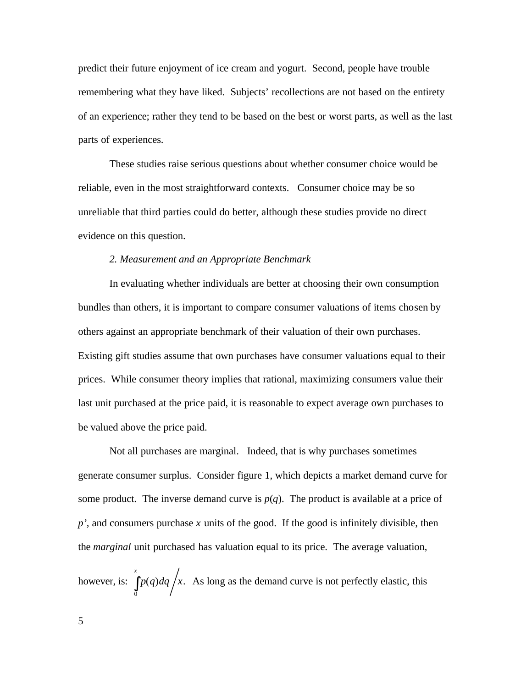predict their future enjoyment of ice cream and yogurt. Second, people have trouble remembering what they have liked. Subjects' recollections are not based on the entirety of an experience; rather they tend to be based on the best or worst parts, as well as the last parts of experiences.

These studies raise serious questions about whether consumer choice would be reliable, even in the most straightforward contexts. Consumer choice may be so unreliable that third parties could do better, although these studies provide no direct evidence on this question.

#### *2. Measurement and an Appropriate Benchmark*

In evaluating whether individuals are better at choosing their own consumption bundles than others, it is important to compare consumer valuations of items chosen by others against an appropriate benchmark of their valuation of their own purchases. Existing gift studies assume that own purchases have consumer valuations equal to their prices. While consumer theory implies that rational, maximizing consumers value their last unit purchased at the price paid, it is reasonable to expect average own purchases to be valued above the price paid.

Not all purchases are marginal. Indeed, that is why purchases sometimes generate consumer surplus. Consider figure 1, which depicts a market demand curve for some product. The inverse demand curve is  $p(q)$ . The product is available at a price of *p'*, and consumers purchase *x* units of the good. If the good is infinitely divisible, then the *marginal* unit purchased has valuation equal to its price. The average valuation,

however, is:  $\int p(q) dq / x$ . 0  $p(q)$ *dq*  $/x$ *x*  $\int p(q) dq / x$ . As long as the demand curve is not perfectly elastic, this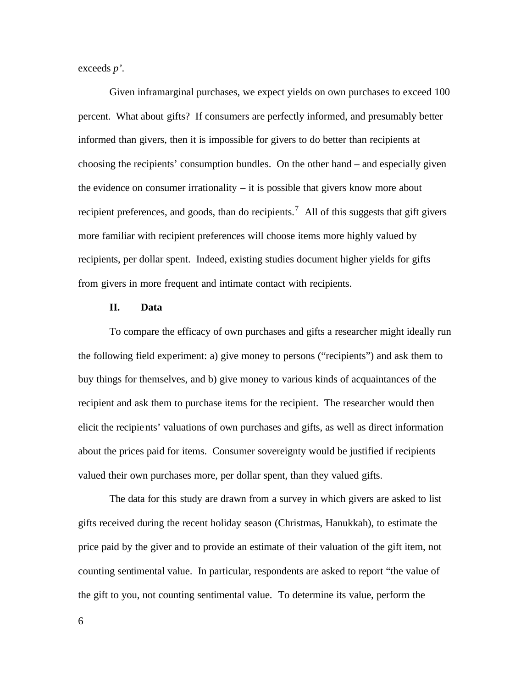exceeds *p'*.

Given inframarginal purchases, we expect yields on own purchases to exceed 100 percent. What about gifts? If consumers are perfectly informed, and presumably better informed than givers, then it is impossible for givers to do better than recipients at choosing the recipients' consumption bundles. On the other hand – and especially given the evidence on consumer irrationality  $-$  it is possible that givers know more about recipient preferences, and goods, than do recipients.<sup>7</sup> All of this suggests that gift givers more familiar with recipient preferences will choose items more highly valued by recipients, per dollar spent. Indeed, existing studies document higher yields for gifts from givers in more frequent and intimate contact with recipients.

#### **II. Data**

To compare the efficacy of own purchases and gifts a researcher might ideally run the following field experiment: a) give money to persons ("recipients") and ask them to buy things for themselves, and b) give money to various kinds of acquaintances of the recipient and ask them to purchase items for the recipient. The researcher would then elicit the recipients' valuations of own purchases and gifts, as well as direct information about the prices paid for items. Consumer sovereignty would be justified if recipients valued their own purchases more, per dollar spent, than they valued gifts.

The data for this study are drawn from a survey in which givers are asked to list gifts received during the recent holiday season (Christmas, Hanukkah), to estimate the price paid by the giver and to provide an estimate of their valuation of the gift item, not counting sentimental value. In particular, respondents are asked to report "the value of the gift to you, not counting sentimental value. To determine its value, perform the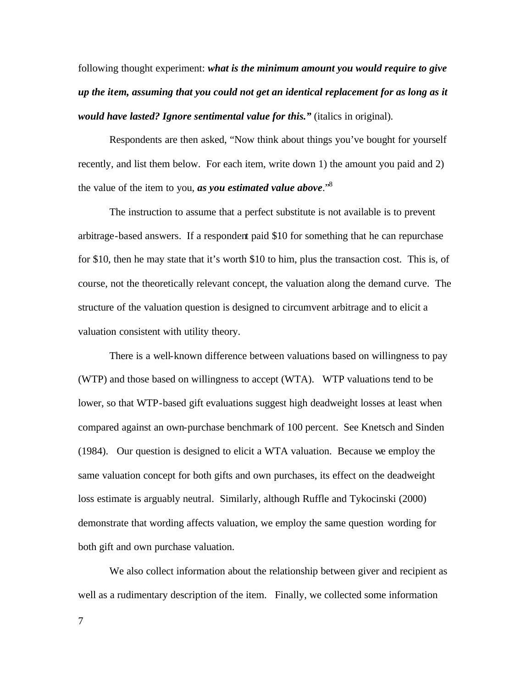following thought experiment: *what is the minimum amount you would require to give up the item, assuming that you could not get an identical replacement for as long as it would have lasted? Ignore sentimental value for this."* (italics in original).

Respondents are then asked, "Now think about things you've bought for yourself recently, and list them below. For each item, write down 1) the amount you paid and 2) the value of the item to you, *as you estimated value above*."<sup>8</sup>

The instruction to assume that a perfect substitute is not available is to prevent arbitrage-based answers. If a respondent paid \$10 for something that he can repurchase for \$10, then he may state that it's worth \$10 to him, plus the transaction cost. This is, of course, not the theoretically relevant concept, the valuation along the demand curve. The structure of the valuation question is designed to circumvent arbitrage and to elicit a valuation consistent with utility theory.

There is a well-known difference between valuations based on willingness to pay (WTP) and those based on willingness to accept (WTA). WTP valuations tend to be lower, so that WTP-based gift evaluations suggest high deadweight losses at least when compared against an own-purchase benchmark of 100 percent. See Knetsch and Sinden (1984). Our question is designed to elicit a WTA valuation. Because we employ the same valuation concept for both gifts and own purchases, its effect on the deadweight loss estimate is arguably neutral. Similarly, although Ruffle and Tykocinski (2000) demonstrate that wording affects valuation, we employ the same question wording for both gift and own purchase valuation.

We also collect information about the relationship between giver and recipient as well as a rudimentary description of the item. Finally, we collected some information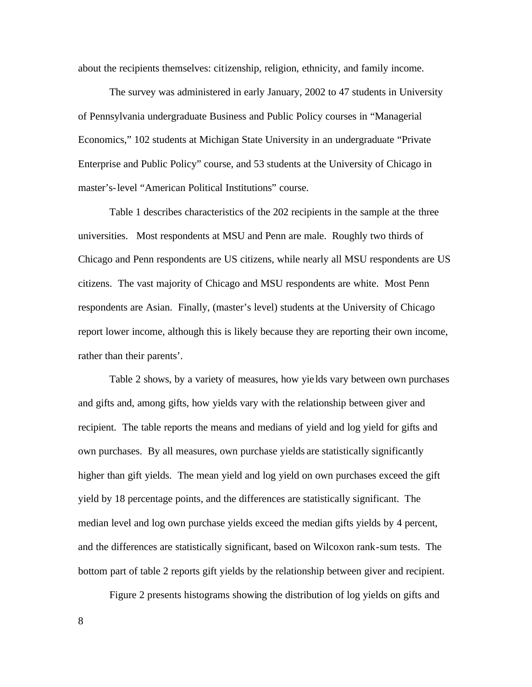about the recipients themselves: citizenship, religion, ethnicity, and family income.

The survey was administered in early January, 2002 to 47 students in University of Pennsylvania undergraduate Business and Public Policy courses in "Managerial Economics," 102 students at Michigan State University in an undergraduate "Private Enterprise and Public Policy" course, and 53 students at the University of Chicago in master's-level "American Political Institutions" course.

Table 1 describes characteristics of the 202 recipients in the sample at the three universities. Most respondents at MSU and Penn are male. Roughly two thirds of Chicago and Penn respondents are US citizens, while nearly all MSU respondents are US citizens. The vast majority of Chicago and MSU respondents are white. Most Penn respondents are Asian. Finally, (master's level) students at the University of Chicago report lower income, although this is likely because they are reporting their own income, rather than their parents'.

Table 2 shows, by a variety of measures, how yie lds vary between own purchases and gifts and, among gifts, how yields vary with the relationship between giver and recipient. The table reports the means and medians of yield and log yield for gifts and own purchases. By all measures, own purchase yields are statistically significantly higher than gift yields. The mean yield and log yield on own purchases exceed the gift yield by 18 percentage points, and the differences are statistically significant. The median level and log own purchase yields exceed the median gifts yields by 4 percent, and the differences are statistically significant, based on Wilcoxon rank-sum tests. The bottom part of table 2 reports gift yields by the relationship between giver and recipient.

Figure 2 presents histograms showing the distribution of log yields on gifts and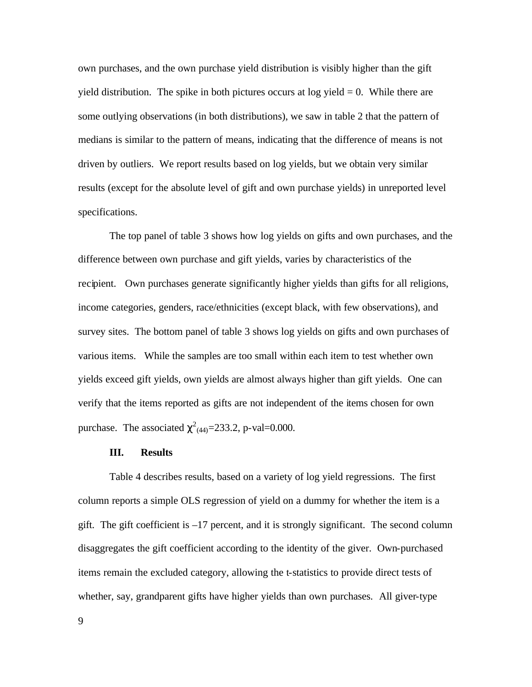own purchases, and the own purchase yield distribution is visibly higher than the gift yield distribution. The spike in both pictures occurs at  $log$  yield  $= 0$ . While there are some outlying observations (in both distributions), we saw in table 2 that the pattern of medians is similar to the pattern of means, indicating that the difference of means is not driven by outliers. We report results based on log yields, but we obtain very similar results (except for the absolute level of gift and own purchase yields) in unreported level specifications.

The top panel of table 3 shows how log yields on gifts and own purchases, and the difference between own purchase and gift yields, varies by characteristics of the recipient. Own purchases generate significantly higher yields than gifts for all religions, income categories, genders, race/ethnicities (except black, with few observations), and survey sites. The bottom panel of table 3 shows log yields on gifts and own purchases of various items. While the samples are too small within each item to test whether own yields exceed gift yields, own yields are almost always higher than gift yields. One can verify that the items reported as gifts are not independent of the items chosen for own purchase. The associated  $\chi^2_{(44)} = 233.2$ , p-val=0.000.

#### **III. Results**

Table 4 describes results, based on a variety of log yield regressions. The first column reports a simple OLS regression of yield on a dummy for whether the item is a gift. The gift coefficient is –17 percent, and it is strongly significant. The second column disaggregates the gift coefficient according to the identity of the giver. Own-purchased items remain the excluded category, allowing the t-statistics to provide direct tests of whether, say, grandparent gifts have higher yields than own purchases. All giver-type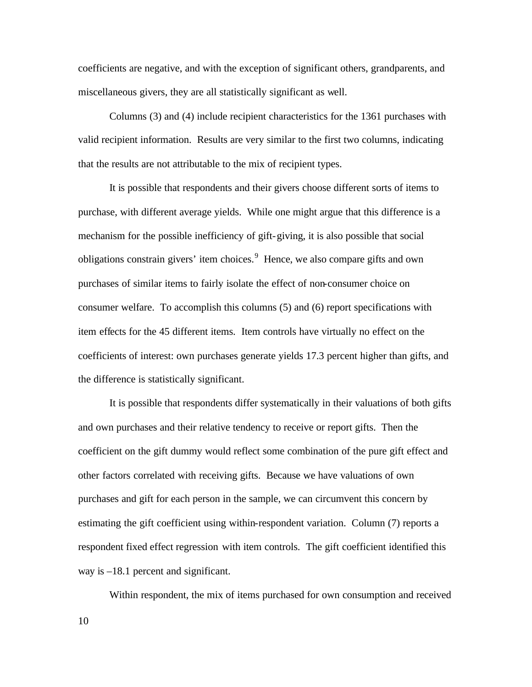coefficients are negative, and with the exception of significant others, grandparents, and miscellaneous givers, they are all statistically significant as well.

Columns (3) and (4) include recipient characteristics for the 1361 purchases with valid recipient information. Results are very similar to the first two columns, indicating that the results are not attributable to the mix of recipient types.

It is possible that respondents and their givers choose different sorts of items to purchase, with different average yields. While one might argue that this difference is a mechanism for the possible inefficiency of gift-giving, it is also possible that social obligations constrain givers' item choices.<sup>9</sup> Hence, we also compare gifts and own purchases of similar items to fairly isolate the effect of non-consumer choice on consumer welfare. To accomplish this columns (5) and (6) report specifications with item effects for the 45 different items. Item controls have virtually no effect on the coefficients of interest: own purchases generate yields 17.3 percent higher than gifts, and the difference is statistically significant.

It is possible that respondents differ systematically in their valuations of both gifts and own purchases and their relative tendency to receive or report gifts. Then the coefficient on the gift dummy would reflect some combination of the pure gift effect and other factors correlated with receiving gifts. Because we have valuations of own purchases and gift for each person in the sample, we can circumvent this concern by estimating the gift coefficient using within-respondent variation. Column (7) reports a respondent fixed effect regression with item controls. The gift coefficient identified this way is –18.1 percent and significant.

10 Within respondent, the mix of items purchased for own consumption and received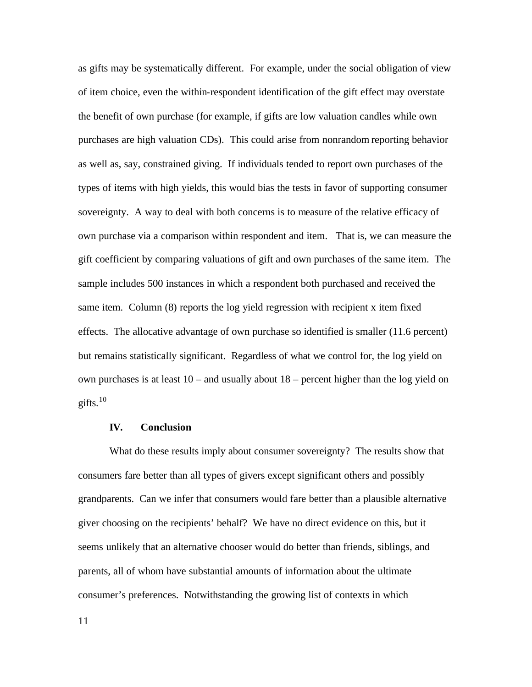as gifts may be systematically different. For example, under the social obligation of view of item choice, even the within-respondent identification of the gift effect may overstate the benefit of own purchase (for example, if gifts are low valuation candles while own purchases are high valuation CDs). This could arise from nonrandom reporting behavior as well as, say, constrained giving. If individuals tended to report own purchases of the types of items with high yields, this would bias the tests in favor of supporting consumer sovereignty. A way to deal with both concerns is to measure of the relative efficacy of own purchase via a comparison within respondent and item. That is, we can measure the gift coefficient by comparing valuations of gift and own purchases of the same item. The sample includes 500 instances in which a respondent both purchased and received the same item. Column (8) reports the log yield regression with recipient x item fixed effects. The allocative advantage of own purchase so identified is smaller (11.6 percent) but remains statistically significant. Regardless of what we control for, the log yield on own purchases is at least 10 – and usually about 18 – percent higher than the log yield on gifts. $10$ 

#### **IV. Conclusion**

What do these results imply about consumer sovereignty? The results show that consumers fare better than all types of givers except significant others and possibly grandparents. Can we infer that consumers would fare better than a plausible alternative giver choosing on the recipients' behalf? We have no direct evidence on this, but it seems unlikely that an alternative chooser would do better than friends, siblings, and parents, all of whom have substantial amounts of information about the ultimate consumer's preferences. Notwithstanding the growing list of contexts in which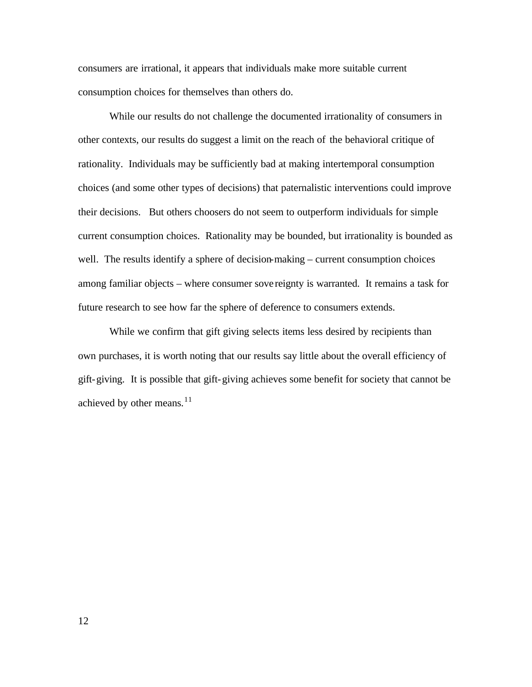consumers are irrational, it appears that individuals make more suitable current consumption choices for themselves than others do.

While our results do not challenge the documented irrationality of consumers in other contexts, our results do suggest a limit on the reach of the behavioral critique of rationality. Individuals may be sufficiently bad at making intertemporal consumption choices (and some other types of decisions) that paternalistic interventions could improve their decisions. But others choosers do not seem to outperform individuals for simple current consumption choices. Rationality may be bounded, but irrationality is bounded as well. The results identify a sphere of decision-making – current consumption choices among familiar objects – where consumer sove reignty is warranted. It remains a task for future research to see how far the sphere of deference to consumers extends.

While we confirm that gift giving selects items less desired by recipients than own purchases, it is worth noting that our results say little about the overall efficiency of gift-giving. It is possible that gift-giving achieves some benefit for society that cannot be achieved by other means. $11$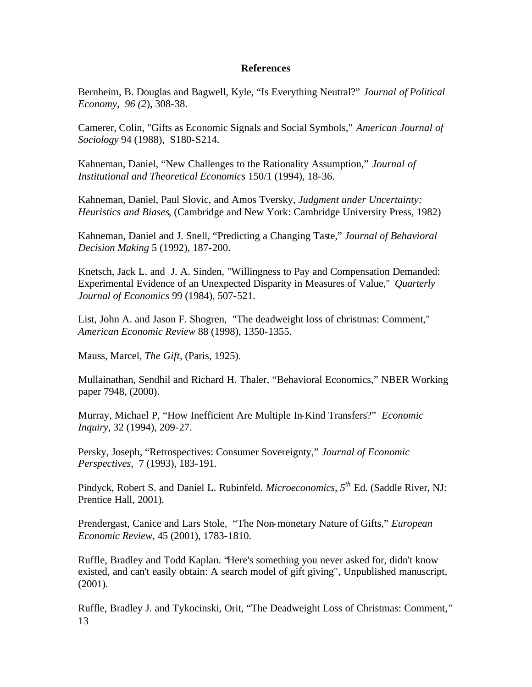### **References**

Bernheim, B. Douglas and Bagwell, Kyle, "Is Everything Neutral?" *Journal of Political Economy, 96 (2*), 308-38.

Camerer, Colin, "Gifts as Economic Signals and Social Symbols," *American Journal of Sociology* 94 (1988), S180-S214.

Kahneman, Daniel, "New Challenges to the Rationality Assumption," *Journal of Institutional and Theoretical Economics* 150/1 (1994), 18-36.

Kahneman, Daniel, Paul Slovic, and Amos Tversky, *Judgment under Uncertainty: Heuristics and Biases*, (Cambridge and New York: Cambridge University Press, 1982)

Kahneman, Daniel and J. Snell, "Predicting a Changing Taste," *Journal of Behavioral Decision Making* 5 (1992), 187-200.

Knetsch, Jack L. and J. A. Sinden, "Willingness to Pay and Compensation Demanded: Experimental Evidence of an Unexpected Disparity in Measures of Value," *Quarterly Journal of Economics* 99 (1984), 507-521.

List, John A. and Jason F. Shogren, "The deadweight loss of christmas: Comment," *American Economic Review* 88 (1998), 1350-1355.

Mauss, Marcel, *The Gift*, (Paris, 1925).

Mullainathan, Sendhil and Richard H. Thaler, "Behavioral Economics," NBER Working paper 7948, (2000).

Murray, Michael P, "How Inefficient Are Multiple In-Kind Transfers?" *Economic Inquiry*, 32 (1994), 209-27.

Persky, Joseph, "Retrospectives: Consumer Sovereignty," *Journal of Economic Perspectives,* 7 (1993), 183-191.

Pindyck, Robert S. and Daniel L. Rubinfeld. *Microeconomics, 5th* Ed. (Saddle River, NJ: Prentice Hall, 2001).

Prendergast, Canice and Lars Stole, "The Non-monetary Nature of Gifts," *European Economic Review*, 45 (2001), 1783-1810.

Ruffle, Bradley and Todd Kaplan. "Here's something you never asked for, didn't know existed, and can't easily obtain: A search model of gift giving", Unpublished manuscript, (2001).

13 Ruffle, Bradley J. and Tykocinski, Orit, "The Deadweight Loss of Christmas: Comment,"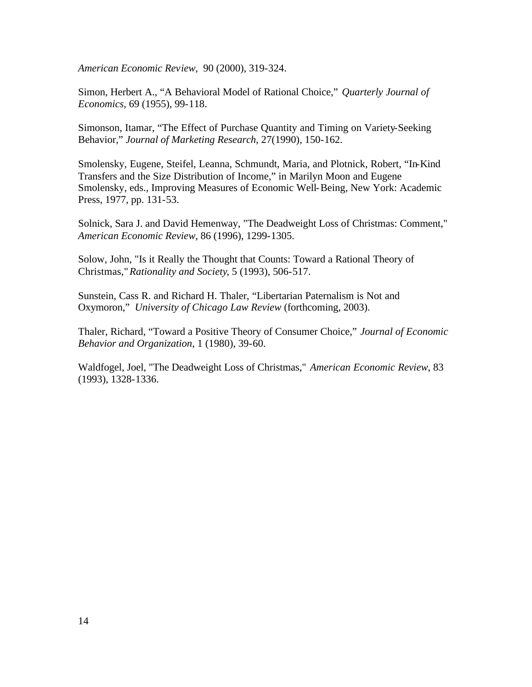*American Economic Review,* 90 (2000), 319-324.

Simon, Herbert A., "A Behavioral Model of Rational Choice," *Quarterly Journal of Economics,* 69 (1955), 99-118.

Simonson, Itamar, "The Effect of Purchase Quantity and Timing on Variety-Seeking Behavior," *Journal of Marketing Research*, 27(1990), 150-162.

Smolensky, Eugene, Steifel, Leanna, Schmundt, Maria, and Plotnick, Robert, "In-Kind Transfers and the Size Distribution of Income," in Marilyn Moon and Eugene Smolensky, eds., Improving Measures of Economic Well-Being, New York: Academic Press, 1977, pp. 131-53.

Solnick, Sara J. and David Hemenway, "The Deadweight Loss of Christmas: Comment," *American Economic Review*, 86 (1996), 1299-1305.

Solow, John, "Is it Really the Thought that Counts: Toward a Rational Theory of Christmas,"*Rationality and Society*, 5 (1993), 506-517.

Sunstein, Cass R. and Richard H. Thaler, "Libertarian Paternalism is Not and Oxymoron," *University of Chicago Law Review* (forthcoming, 2003).

Thaler, Richard, "Toward a Positive Theory of Consumer Choice," *Journal of Economic Behavior and Organization*, 1 (1980), 39-60.

Waldfogel, Joel, "The Deadweight Loss of Christmas," *American Economic Review*, 83 (1993), 1328-1336.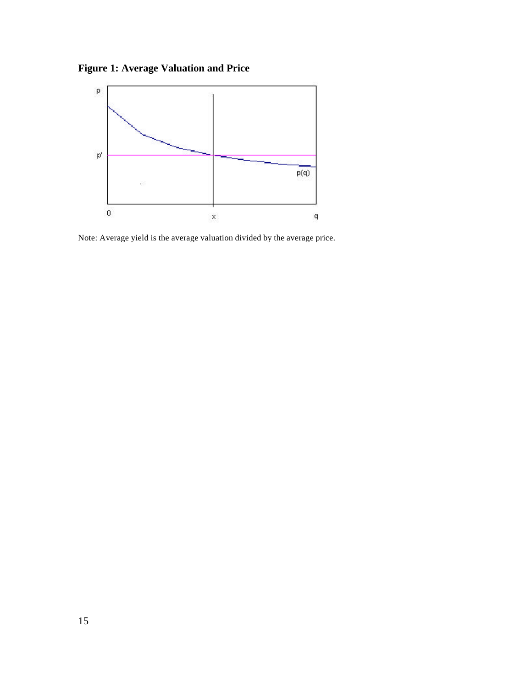**Figure 1: Average Valuation and Price**



Note: Average yield is the average valuation divided by the average price.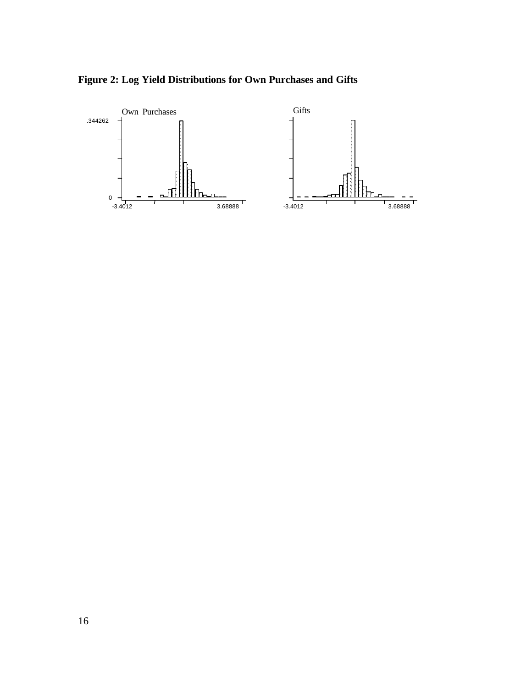

**Figure 2: Log Yield Distributions for Own Purchases and Gifts**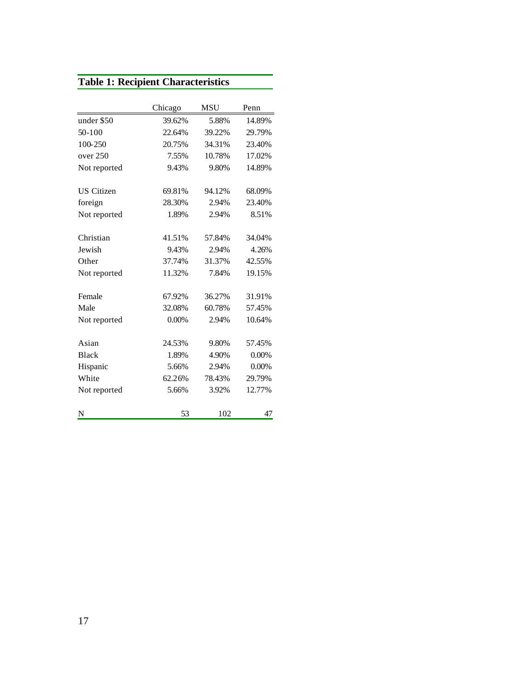# **Table 1: Recipient Characteristics**

|                   | Chicago | <b>MSU</b> | Penn   |  |
|-------------------|---------|------------|--------|--|
| under \$50        | 39.62%  | 5.88%      | 14.89% |  |
| $50-100$          | 22.64%  | 39.22%     | 29.79% |  |
| 100-250           | 20.75%  | 34.31%     | 23.40% |  |
| over 250          | 7.55%   | 10.78%     | 17.02% |  |
| Not reported      | 9.43%   | 9.80%      | 14.89% |  |
| <b>US</b> Citizen | 69.81%  | 94.12%     | 68.09% |  |
| foreign           | 28.30%  | 2.94%      | 23.40% |  |
| Not reported      | 1.89%   | 2.94%      | 8.51%  |  |
| Christian         | 41.51%  | 57.84%     | 34.04% |  |
| Jewish            | 9.43%   | 2.94%      | 4.26%  |  |
| Other             | 37.74%  | 31.37%     | 42.55% |  |
| Not reported      | 11.32%  | 7.84%      | 19.15% |  |
| Female            | 67.92%  | 36.27%     | 31.91% |  |
| Male              | 32.08%  | 60.78%     | 57.45% |  |
| Not reported      | 0.00%   | 2.94%      | 10.64% |  |
| Asian             | 24.53%  | 9.80%      | 57.45% |  |
| <b>Black</b>      | 1.89%   | 4.90%      | 0.00%  |  |
| Hispanic          | 5.66%   | 2.94%      | 0.00%  |  |
| White             | 62.26%  | 78.43%     | 29.79% |  |
| Not reported      | 5.66%   | 3.92%      | 12.77% |  |
| N                 | 53      | 102        | 47     |  |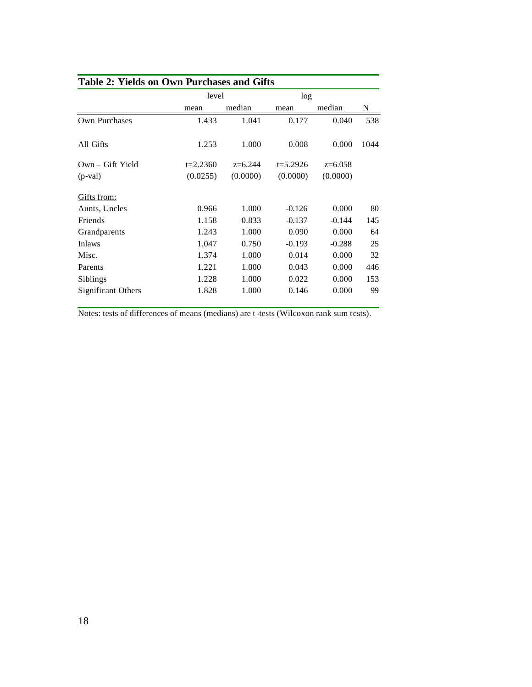|                    | level        |           | log          |           |      |
|--------------------|--------------|-----------|--------------|-----------|------|
|                    | mean         | median    | mean         | median    | N    |
| Own Purchases      | 1.433        | 1.041     | 0.177        | 0.040     | 538  |
| All Gifts          | 1.253        | 1.000     | 0.008        | 0.000     | 1044 |
| Own - Gift Yield   | $t = 2.2360$ | $z=6.244$ | $t = 5.2926$ | $z=6.058$ |      |
| $(p$ -val $)$      | (0.0255)     | (0.0000)  | (0.0000)     | (0.0000)  |      |
| Gifts from:        |              |           |              |           |      |
| Aunts, Uncles      | 0.966        | 1.000     | $-0.126$     | 0.000     | 80   |
| Friends            | 1.158        | 0.833     | $-0.137$     | $-0.144$  | 145  |
| Grandparents       | 1.243        | 1.000     | 0.090        | 0.000     | 64   |
| <b>Inlaws</b>      | 1.047        | 0.750     | $-0.193$     | $-0.288$  | 25   |
| Misc.              | 1.374        | 1.000     | 0.014        | 0.000     | 32   |
| Parents            | 1.221        | 1.000     | 0.043        | 0.000     | 446  |
| Siblings           | 1.228        | 1.000     | 0.022        | 0.000     | 153  |
| Significant Others | 1.828        | 1.000     | 0.146        | 0.000     | 99   |

Notes: tests of differences of means (medians) are t-tests (Wilcoxon rank sum tests).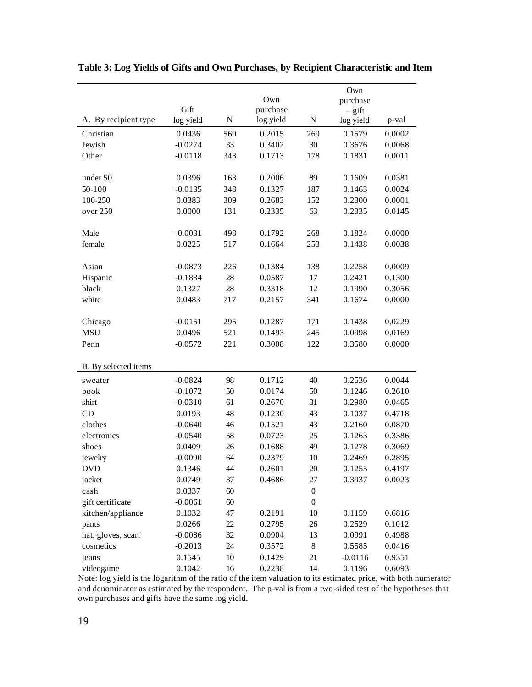|                      |           |           |           | Own              |           |        |  |
|----------------------|-----------|-----------|-----------|------------------|-----------|--------|--|
|                      |           |           | Own       |                  | purchase  |        |  |
|                      | Gift      |           | purchase  | $-$ gift         |           |        |  |
| A. By recipient type | log yield | ${\bf N}$ | log yield | ${\bf N}$        | log yield | p-val  |  |
| Christian            | 0.0436    | 569       | 0.2015    | 269              | 0.1579    | 0.0002 |  |
| Jewish               | $-0.0274$ | 33        | 0.3402    | 30               | 0.3676    | 0.0068 |  |
| Other                | $-0.0118$ | 343       | 0.1713    | 178              | 0.1831    | 0.0011 |  |
|                      |           |           |           |                  |           |        |  |
| under 50             | 0.0396    | 163       | 0.2006    | 89               | 0.1609    | 0.0381 |  |
| 50-100               | $-0.0135$ | 348       | 0.1327    | 187              | 0.1463    | 0.0024 |  |
| 100-250              | 0.0383    | 309       | 0.2683    | 152              | 0.2300    | 0.0001 |  |
| over 250             | 0.0000    | 131       | 0.2335    | 63               | 0.2335    | 0.0145 |  |
|                      |           |           |           |                  |           |        |  |
| Male                 | $-0.0031$ | 498       | 0.1792    | 268              | 0.1824    | 0.0000 |  |
| female               | 0.0225    | 517       | 0.1664    | 253              | 0.1438    | 0.0038 |  |
|                      |           |           |           |                  |           |        |  |
| Asian                | $-0.0873$ | 226       | 0.1384    | 138              | 0.2258    | 0.0009 |  |
| Hispanic             | $-0.1834$ | 28        | 0.0587    | 17               | 0.2421    | 0.1300 |  |
| black                | 0.1327    | 28        | 0.3318    | 12               | 0.1990    | 0.3056 |  |
| white                | 0.0483    | 717       | 0.2157    | 341              | 0.1674    | 0.0000 |  |
|                      |           |           |           |                  |           |        |  |
| Chicago              | $-0.0151$ | 295       | 0.1287    | 171              | 0.1438    | 0.0229 |  |
| <b>MSU</b>           | 0.0496    | 521       | 0.1493    | 245              | 0.0998    | 0.0169 |  |
| Penn                 | $-0.0572$ | 221       | 0.3008    | 122              | 0.3580    | 0.0000 |  |
|                      |           |           |           |                  |           |        |  |
| B. By selected items |           |           |           |                  |           |        |  |
| sweater              | $-0.0824$ | 98        | 0.1712    | 40               | 0.2536    | 0.0044 |  |
| book                 | $-0.1072$ | 50        | 0.0174    | 50               | 0.1246    | 0.2610 |  |
| shirt                | $-0.0310$ | 61        | 0.2670    | 31               | 0.2980    | 0.0465 |  |
| CD                   | 0.0193    | 48        | 0.1230    | 43               | 0.1037    | 0.4718 |  |
| clothes              | $-0.0640$ | 46        | 0.1521    | 43               | 0.2160    | 0.0870 |  |
| electronics          | $-0.0540$ | 58        | 0.0723    | 25               | 0.1263    | 0.3386 |  |
| shoes                | 0.0409    | 26        | 0.1688    | 49               | 0.1278    | 0.3069 |  |
| jewelry              | $-0.0090$ | 64        | 0.2379    | 10               | 0.2469    | 0.2895 |  |
| <b>DVD</b>           | 0.1346    | 44        | 0.2601    | 20               | 0.1255    | 0.4197 |  |
| jacket               | 0.0749    | 37        | 0.4686    | 27               | 0.3937    | 0.0023 |  |
| cash                 | 0.0337    | 60        |           | $\boldsymbol{0}$ |           |        |  |
| gift certificate     | $-0.0061$ | 60        |           | $\theta$         |           |        |  |
| kitchen/appliance    | 0.1032    | 47        | 0.2191    | 10               | 0.1159    | 0.6816 |  |
| pants                | 0.0266    | 22        | 0.2795    | 26               | 0.2529    | 0.1012 |  |
| hat, gloves, scarf   | $-0.0086$ | 32        | 0.0904    | 13               | 0.0991    | 0.4988 |  |
| cosmetics            | $-0.2013$ | 24        | 0.3572    | $\,8\,$          | 0.5585    | 0.0416 |  |
| jeans                | 0.1545    | 10        | 0.1429    | 21               | $-0.0116$ | 0.9351 |  |
| videogame            | 0.1042    | 16        | 0.2238    | 14               | 0.1196    | 0.6093 |  |

**Table 3: Log Yields of Gifts and Own Purchases, by Recipient Characteristic and Item**

Note: log yield is the logarithm of the ratio of the item valuation to its estimated price, with both numerator and denominator as estimated by the respondent. The p-val is from a two-sided test of the hypotheses that own purchases and gifts have the same log yield.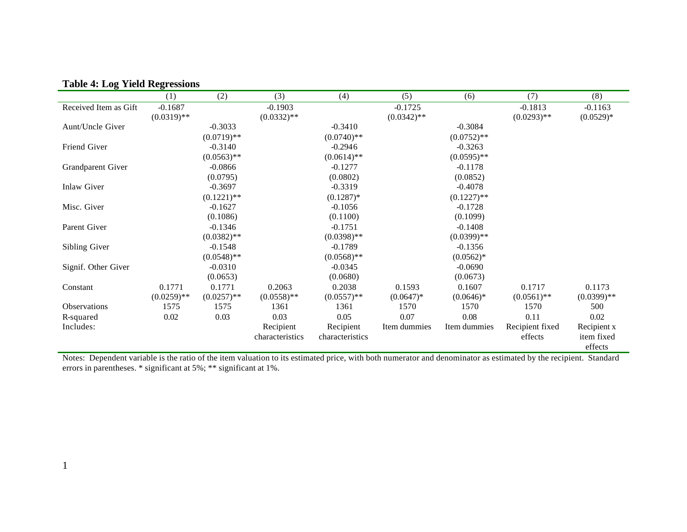|                       | (1)           | (2)           | (3)             | (4)             | (5)           | (6)           | (7)             | (8)          |
|-----------------------|---------------|---------------|-----------------|-----------------|---------------|---------------|-----------------|--------------|
| Received Item as Gift | $-0.1687$     |               | $-0.1903$       |                 | $-0.1725$     |               | $-0.1813$       | $-0.1163$    |
|                       | $(0.0319)$ ** |               | $(0.0332)$ **   |                 | $(0.0342)$ ** |               | $(0.0293)$ **   | $(0.0529)*$  |
| Aunt/Uncle Giver      |               | $-0.3033$     |                 | $-0.3410$       |               | $-0.3084$     |                 |              |
|                       |               | $(0.0719)$ ** |                 | $(0.0740)$ **   |               | $(0.0752)$ ** |                 |              |
| Friend Giver          |               | $-0.3140$     |                 | $-0.2946$       |               | $-0.3263$     |                 |              |
|                       |               | $(0.0563)$ ** |                 | $(0.0614)$ **   |               | $(0.0595)$ ** |                 |              |
| Grandparent Giver     |               | $-0.0866$     |                 | $-0.1277$       |               | $-0.1178$     |                 |              |
|                       |               | (0.0795)      |                 | (0.0802)        |               | (0.0852)      |                 |              |
| Inlaw Giver           |               | $-0.3697$     |                 | $-0.3319$       |               | $-0.4078$     |                 |              |
|                       |               | $(0.1221)$ ** |                 | $(0.1287)^*$    |               | $(0.1227)$ ** |                 |              |
| Misc. Giver           |               | $-0.1627$     |                 | $-0.1056$       |               | $-0.1728$     |                 |              |
|                       |               | (0.1086)      |                 | (0.1100)        |               | (0.1099)      |                 |              |
| Parent Giver          |               | $-0.1346$     |                 | $-0.1751$       |               | $-0.1408$     |                 |              |
|                       |               | $(0.0382)$ ** |                 | $(0.0398)$ **   |               | $(0.0399)**$  |                 |              |
| Sibling Giver         |               | $-0.1548$     |                 | $-0.1789$       |               | $-0.1356$     |                 |              |
|                       |               | $(0.0548)$ ** |                 | $(0.0568)$ **   |               | $(0.0562)*$   |                 |              |
| Signif. Other Giver   |               | $-0.0310$     |                 | $-0.0345$       |               | $-0.0690$     |                 |              |
|                       |               | (0.0653)      |                 | (0.0680)        |               | (0.0673)      |                 |              |
| Constant              | 0.1771        | 0.1771        | 0.2063          | 0.2038          | 0.1593        | 0.1607        | 0.1717          | 0.1173       |
|                       | $(0.0259)$ ** | $(0.0257)$ ** | $(0.0558)$ **   | $(0.0557)$ **   | $(0.0647)^*$  | $(0.0646)*$   | $(0.0561)$ **   | $(0.0399)**$ |
| <b>Observations</b>   | 1575          | 1575          | 1361            | 1361            | 1570          | 1570          | 1570            | 500          |
| R-squared             | $0.02\,$      | 0.03          | 0.03            | 0.05            | 0.07          | 0.08          | 0.11            | 0.02         |
| Includes:             |               |               | Recipient       | Recipient       | Item dummies  | Item dummies  | Recipient fixed | Recipient x  |
|                       |               |               | characteristics | characteristics |               |               | effects         | item fixed   |
|                       |               |               |                 |                 |               |               |                 | effects      |

## **Table 4: Log Yield Regressions**

Notes: Dependent variable is the ratio of the item valuation to its estimated price, with both numerator and denominator as estimated by the recipient. Standard errors in parentheses. \* significant at 5%; \*\* significant at 1%.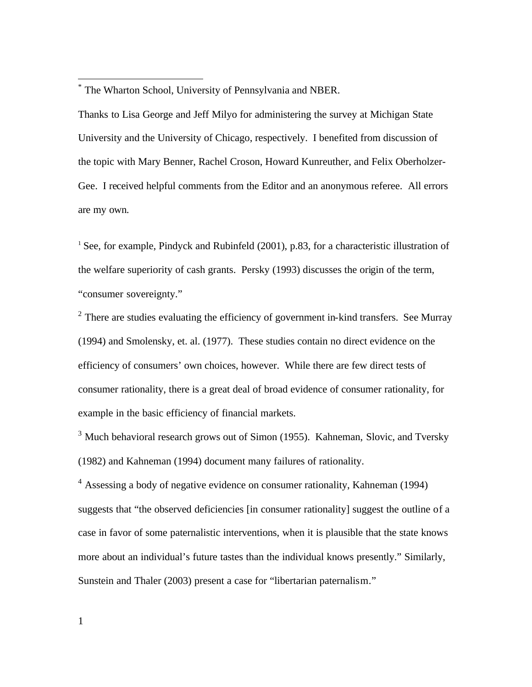\* The Wharton School, University of Pennsylvania and NBER.

Thanks to Lisa George and Jeff Milyo for administering the survey at Michigan State University and the University of Chicago, respectively. I benefited from discussion of the topic with Mary Benner, Rachel Croson, Howard Kunreuther, and Felix Oberholzer-Gee. I received helpful comments from the Editor and an anonymous referee. All errors are my own.

 $<sup>1</sup>$  See, for example, Pindyck and Rubinfeld (2001), p.83, for a characteristic illustration of</sup> the welfare superiority of cash grants. Persky (1993) discusses the origin of the term, "consumer sovereignty."

 $2$  There are studies evaluating the efficiency of government in-kind transfers. See Murray (1994) and Smolensky, et. al. (1977). These studies contain no direct evidence on the efficiency of consumers' own choices, however. While there are few direct tests of consumer rationality, there is a great deal of broad evidence of consumer rationality, for example in the basic efficiency of financial markets.

<sup>3</sup> Much behavioral research grows out of Simon (1955). Kahneman, Slovic, and Tversky (1982) and Kahneman (1994) document many failures of rationality.

<sup>4</sup> Assessing a body of negative evidence on consumer rationality, Kahneman (1994) suggests that "the observed deficiencies [in consumer rationality] suggest the outline of a case in favor of some paternalistic interventions, when it is plausible that the state knows more about an individual's future tastes than the individual knows presently." Similarly, Sunstein and Thaler (2003) present a case for "libertarian paternalism."

 $\overline{a}$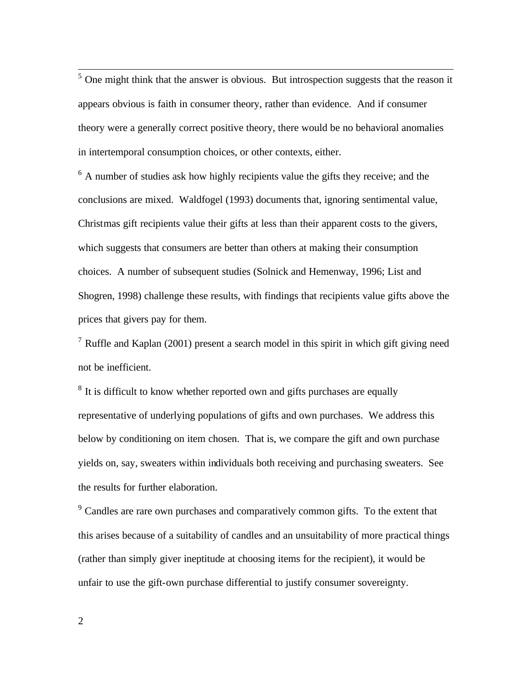<sup>5</sup> One might think that the answer is obvious. But introspection suggests that the reason it appears obvious is faith in consumer theory, rather than evidence. And if consumer theory were a generally correct positive theory, there would be no behavioral anomalies in intertemporal consumption choices, or other contexts, either.

<sup>6</sup> A number of studies ask how highly recipients value the gifts they receive; and the conclusions are mixed. Waldfogel (1993) documents that, ignoring sentimental value, Christmas gift recipients value their gifts at less than their apparent costs to the givers, which suggests that consumers are better than others at making their consumption choices. A number of subsequent studies (Solnick and Hemenway, 1996; List and Shogren, 1998) challenge these results, with findings that recipients value gifts above the prices that givers pay for them.

<sup>7</sup> Ruffle and Kaplan (2001) present a search model in this spirit in which gift giving need not be inefficient.

 $8$  It is difficult to know whether reported own and gifts purchases are equally representative of underlying populations of gifts and own purchases. We address this below by conditioning on item chosen. That is, we compare the gift and own purchase yields on, say, sweaters within individuals both receiving and purchasing sweaters. See the results for further elaboration.

<sup>9</sup> Candles are rare own purchases and comparatively common gifts. To the extent that this arises because of a suitability of candles and an unsuitability of more practical things (rather than simply giver ineptitude at choosing items for the recipient), it would be unfair to use the gift-own purchase differential to justify consumer sovereignty.